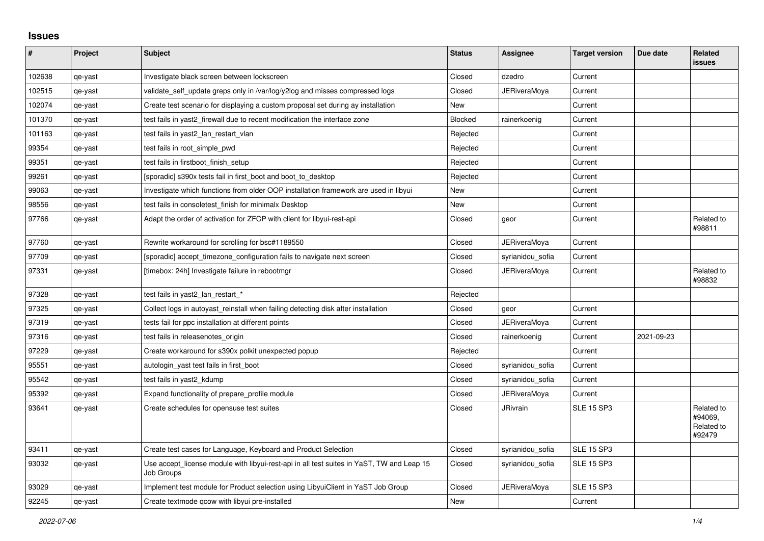## **Issues**

| #      | Project | <b>Subject</b>                                                                                          | <b>Status</b> | Assignee            | <b>Target version</b> | Due date   | Related<br><b>issues</b>                      |
|--------|---------|---------------------------------------------------------------------------------------------------------|---------------|---------------------|-----------------------|------------|-----------------------------------------------|
| 102638 | qe-yast | Investigate black screen between lockscreen                                                             | Closed        | dzedro              | Current               |            |                                               |
| 102515 | qe-yast | validate_self_update greps only in /var/log/y2log and misses compressed logs                            | Closed        | JERiveraMoya        | Current               |            |                                               |
| 102074 | qe-yast | Create test scenario for displaying a custom proposal set during ay installation                        | <b>New</b>    |                     | Current               |            |                                               |
| 101370 | qe-yast | test fails in yast2 firewall due to recent modification the interface zone                              | Blocked       | rainerkoenig        | Current               |            |                                               |
| 101163 | qe-yast | test fails in yast2_lan_restart_vlan                                                                    | Rejected      |                     | Current               |            |                                               |
| 99354  | qe-yast | test fails in root simple pwd                                                                           | Rejected      |                     | Current               |            |                                               |
| 99351  | qe-yast | test fails in firstboot_finish_setup                                                                    | Rejected      |                     | Current               |            |                                               |
| 99261  | qe-yast | [sporadic] s390x tests fail in first_boot and boot_to_desktop                                           | Rejected      |                     | Current               |            |                                               |
| 99063  | qe-yast | Investigate which functions from older OOP installation framework are used in libyui                    | <b>New</b>    |                     | Current               |            |                                               |
| 98556  | qe-yast | test fails in consoletest finish for minimalx Desktop                                                   | New           |                     | Current               |            |                                               |
| 97766  | qe-yast | Adapt the order of activation for ZFCP with client for libyui-rest-api                                  | Closed        | geor                | Current               |            | Related to<br>#98811                          |
| 97760  | qe-yast | Rewrite workaround for scrolling for bsc#1189550                                                        | Closed        | <b>JERiveraMoya</b> | Current               |            |                                               |
| 97709  | qe-yast | [sporadic] accept timezone configuration fails to navigate next screen                                  | Closed        | syrianidou_sofia    | Current               |            |                                               |
| 97331  | qe-yast | [timebox: 24h] Investigate failure in rebootmgr                                                         | Closed        | JERiveraMoya        | Current               |            | Related to<br>#98832                          |
| 97328  | qe-yast | test fails in yast2_lan_restart_*                                                                       | Rejected      |                     |                       |            |                                               |
| 97325  | qe-yast | Collect logs in autoyast reinstall when failing detecting disk after installation                       | Closed        | geor                | Current               |            |                                               |
| 97319  | qe-yast | tests fail for ppc installation at different points                                                     | Closed        | <b>JERiveraMoya</b> | Current               |            |                                               |
| 97316  | qe-yast | test fails in releasenotes_origin                                                                       | Closed        | rainerkoenig        | Current               | 2021-09-23 |                                               |
| 97229  | qe-yast | Create workaround for s390x polkit unexpected popup                                                     | Rejected      |                     | Current               |            |                                               |
| 95551  | qe-yast | autologin_yast test fails in first_boot                                                                 | Closed        | syrianidou sofia    | Current               |            |                                               |
| 95542  | qe-yast | test fails in yast2_kdump                                                                               | Closed        | syrianidou_sofia    | Current               |            |                                               |
| 95392  | qe-yast | Expand functionality of prepare profile module                                                          | Closed        | <b>JERiveraMova</b> | Current               |            |                                               |
| 93641  | qe-yast | Create schedules for opensuse test suites                                                               | Closed        | <b>JRivrain</b>     | <b>SLE 15 SP3</b>     |            | Related to<br>#94069.<br>Related to<br>#92479 |
| 93411  | qe-yast | Create test cases for Language, Keyboard and Product Selection                                          | Closed        | syrianidou_sofia    | <b>SLE 15 SP3</b>     |            |                                               |
| 93032  | qe-yast | Use accept_license module with libyui-rest-api in all test suites in YaST, TW and Leap 15<br>Job Groups | Closed        | syrianidou_sofia    | <b>SLE 15 SP3</b>     |            |                                               |
| 93029  | qe-yast | Implement test module for Product selection using LibyuiClient in YaST Job Group                        | Closed        | JERiveraMoya        | <b>SLE 15 SP3</b>     |            |                                               |
| 92245  | qe-yast | Create textmode gcow with libyui pre-installed                                                          | New           |                     | Current               |            |                                               |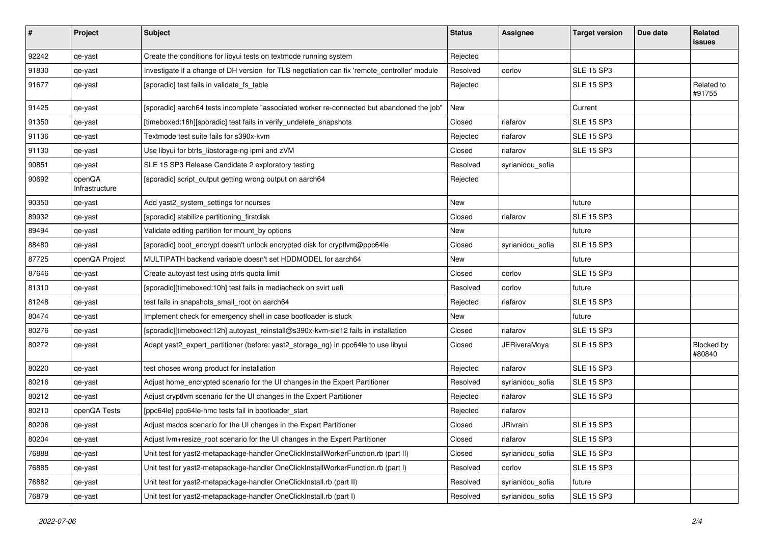| $\vert$ # | Project                  | <b>Subject</b>                                                                               | <b>Status</b> | <b>Assignee</b>     | <b>Target version</b> | Due date | Related<br><b>issues</b> |
|-----------|--------------------------|----------------------------------------------------------------------------------------------|---------------|---------------------|-----------------------|----------|--------------------------|
| 92242     | qe-yast                  | Create the conditions for libyui tests on textmode running system                            | Rejected      |                     |                       |          |                          |
| 91830     | qe-yast                  | Investigate if a change of DH version for TLS negotiation can fix 'remote_controller' module | Resolved      | oorlov              | <b>SLE 15 SP3</b>     |          |                          |
| 91677     | qe-yast                  | [sporadic] test fails in validate_fs_table                                                   | Rejected      |                     | <b>SLE 15 SP3</b>     |          | Related to<br>#91755     |
| 91425     | qe-yast                  | [sporadic] aarch64 tests incomplete "associated worker re-connected but abandoned the job"   | New           |                     | Current               |          |                          |
| 91350     | qe-yast                  | [timeboxed:16h][sporadic] test fails in verify_undelete_snapshots                            | Closed        | riafarov            | <b>SLE 15 SP3</b>     |          |                          |
| 91136     | qe-yast                  | Textmode test suite fails for s390x-kvm                                                      | Rejected      | riafarov            | <b>SLE 15 SP3</b>     |          |                          |
| 91130     | qe-yast                  | Use libyui for btrfs_libstorage-ng ipmi and zVM                                              | Closed        | riafarov            | <b>SLE 15 SP3</b>     |          |                          |
| 90851     | qe-yast                  | SLE 15 SP3 Release Candidate 2 exploratory testing                                           | Resolved      | syrianidou_sofia    |                       |          |                          |
| 90692     | openQA<br>Infrastructure | [sporadic] script_output getting wrong output on aarch64                                     | Rejected      |                     |                       |          |                          |
| 90350     | qe-yast                  | Add yast2_system_settings for ncurses                                                        | New           |                     | future                |          |                          |
| 89932     | qe-yast                  | [sporadic] stabilize partitioning_firstdisk                                                  | Closed        | riafarov            | <b>SLE 15 SP3</b>     |          |                          |
| 89494     | qe-yast                  | Validate editing partition for mount_by options                                              | New           |                     | future                |          |                          |
| 88480     | qe-yast                  | [sporadic] boot_encrypt doesn't unlock encrypted disk for cryptlvm@ppc64le                   | Closed        | syrianidou_sofia    | <b>SLE 15 SP3</b>     |          |                          |
| 87725     | openQA Project           | MULTIPATH backend variable doesn't set HDDMODEL for aarch64                                  | New           |                     | future                |          |                          |
| 87646     | qe-yast                  | Create autoyast test using btrfs quota limit                                                 | Closed        | oorlov              | <b>SLE 15 SP3</b>     |          |                          |
| 81310     | qe-yast                  | [sporadic][timeboxed:10h] test fails in mediacheck on svirt uefi                             | Resolved      | oorlov              | future                |          |                          |
| 81248     | qe-yast                  | test fails in snapshots_small_root on aarch64                                                | Rejected      | riafarov            | <b>SLE 15 SP3</b>     |          |                          |
| 80474     | qe-yast                  | Implement check for emergency shell in case bootloader is stuck                              | New           |                     | future                |          |                          |
| 80276     | qe-yast                  | [sporadic][timeboxed:12h] autoyast_reinstall@s390x-kvm-sle12 fails in installation           | Closed        | riafarov            | <b>SLE 15 SP3</b>     |          |                          |
| 80272     | qe-yast                  | Adapt yast2_expert_partitioner (before: yast2_storage_ng) in ppc64le to use libyui           | Closed        | <b>JERiveraMoya</b> | <b>SLE 15 SP3</b>     |          | Blocked by<br>#80840     |
| 80220     | qe-yast                  | test choses wrong product for installation                                                   | Rejected      | riafarov            | <b>SLE 15 SP3</b>     |          |                          |
| 80216     | qe-yast                  | Adjust home_encrypted scenario for the UI changes in the Expert Partitioner                  | Resolved      | syrianidou_sofia    | <b>SLE 15 SP3</b>     |          |                          |
| 80212     | qe-yast                  | Adjust cryptivm scenario for the UI changes in the Expert Partitioner                        | Rejected      | riafarov            | <b>SLE 15 SP3</b>     |          |                          |
| 80210     | openQA Tests             | [ppc64le] ppc64le-hmc tests fail in bootloader_start                                         | Rejected      | riafarov            |                       |          |                          |
| 80206     | qe-yast                  | Adjust msdos scenario for the UI changes in the Expert Partitioner                           | Closed        | JRivrain            | <b>SLE 15 SP3</b>     |          |                          |
| 80204     | qe-yast                  | Adjust lvm+resize_root scenario for the UI changes in the Expert Partitioner                 | Closed        | riafarov            | <b>SLE 15 SP3</b>     |          |                          |
| 76888     | qe-yast                  | Unit test for yast2-metapackage-handler OneClickInstallWorkerFunction.rb (part II)           | Closed        | syrianidou_sofia    | <b>SLE 15 SP3</b>     |          |                          |
| 76885     | qe-yast                  | Unit test for yast2-metapackage-handler OneClickInstallWorkerFunction.rb (part I)            | Resolved      | oorlov              | <b>SLE 15 SP3</b>     |          |                          |
| 76882     | qe-yast                  | Unit test for yast2-metapackage-handler OneClickInstall.rb (part II)                         | Resolved      | syrianidou_sofia    | future                |          |                          |
| 76879     | qe-yast                  | Unit test for yast2-metapackage-handler OneClickInstall.rb (part I)                          | Resolved      | syrianidou_sofia    | <b>SLE 15 SP3</b>     |          |                          |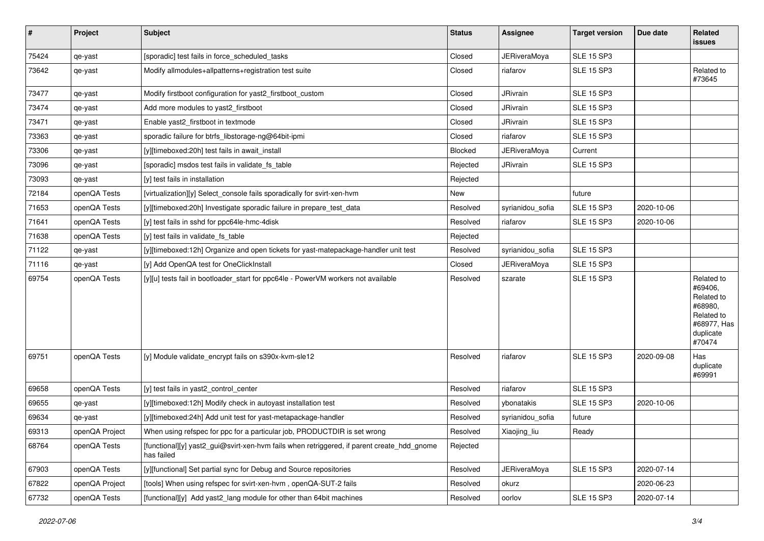| #     | Project        | Subject                                                                                                  | <b>Status</b> | Assignee            | <b>Target version</b> | Due date   | Related<br>issues                                                                                  |
|-------|----------------|----------------------------------------------------------------------------------------------------------|---------------|---------------------|-----------------------|------------|----------------------------------------------------------------------------------------------------|
| 75424 | qe-yast        | [sporadic] test fails in force_scheduled_tasks                                                           | Closed        | <b>JERiveraMoya</b> | <b>SLE 15 SP3</b>     |            |                                                                                                    |
| 73642 | qe-yast        | Modify allmodules+allpatterns+registration test suite                                                    | Closed        | riafarov            | <b>SLE 15 SP3</b>     |            | Related to<br>#73645                                                                               |
| 73477 | qe-yast        | Modify firstboot configuration for yast2_firstboot_custom                                                | Closed        | JRivrain            | <b>SLE 15 SP3</b>     |            |                                                                                                    |
| 73474 | qe-yast        | Add more modules to yast2 firstboot                                                                      | Closed        | <b>JRivrain</b>     | <b>SLE 15 SP3</b>     |            |                                                                                                    |
| 73471 | qe-yast        | Enable yast2_firstboot in textmode                                                                       | Closed        | <b>JRivrain</b>     | <b>SLE 15 SP3</b>     |            |                                                                                                    |
| 73363 | qe-yast        | sporadic failure for btrfs libstorage-ng@64bit-ipmi                                                      | Closed        | riafarov            | <b>SLE 15 SP3</b>     |            |                                                                                                    |
| 73306 | qe-yast        | [y][timeboxed:20h] test fails in await_install                                                           | Blocked       | JERiveraMoya        | Current               |            |                                                                                                    |
| 73096 | qe-yast        | [sporadic] msdos test fails in validate_fs_table                                                         | Rejected      | <b>JRivrain</b>     | <b>SLE 15 SP3</b>     |            |                                                                                                    |
| 73093 | qe-yast        | [y] test fails in installation                                                                           | Rejected      |                     |                       |            |                                                                                                    |
| 72184 | openQA Tests   | [virtualization][y] Select_console fails sporadically for svirt-xen-hvm                                  | New           |                     | future                |            |                                                                                                    |
| 71653 | openQA Tests   | [y][timeboxed:20h] Investigate sporadic failure in prepare test data                                     | Resolved      | syrianidou_sofia    | <b>SLE 15 SP3</b>     | 2020-10-06 |                                                                                                    |
| 71641 | openQA Tests   | [y] test fails in sshd for ppc64le-hmc-4disk                                                             | Resolved      | riafarov            | <b>SLE 15 SP3</b>     | 2020-10-06 |                                                                                                    |
| 71638 | openQA Tests   | [y] test fails in validate_fs_table                                                                      | Rejected      |                     |                       |            |                                                                                                    |
| 71122 | qe-yast        | [y][timeboxed:12h] Organize and open tickets for yast-matepackage-handler unit test                      | Resolved      | syrianidou_sofia    | <b>SLE 15 SP3</b>     |            |                                                                                                    |
| 71116 | qe-yast        | [y] Add OpenQA test for OneClickInstall                                                                  | Closed        | JERiveraMoya        | <b>SLE 15 SP3</b>     |            |                                                                                                    |
| 69754 | openQA Tests   | [y][u] tests fail in bootloader_start for ppc64le - PowerVM workers not available                        | Resolved      | szarate             | <b>SLE 15 SP3</b>     |            | Related to<br>#69406,<br>Related to<br>#68980,<br>Related to<br>#68977, Has<br>duplicate<br>#70474 |
| 69751 | openQA Tests   | [y] Module validate_encrypt fails on s390x-kvm-sle12                                                     | Resolved      | riafarov            | <b>SLE 15 SP3</b>     | 2020-09-08 | Has<br>duplicate<br>#69991                                                                         |
| 69658 | openQA Tests   | [y] test fails in yast2_control_center                                                                   | Resolved      | riafarov            | <b>SLE 15 SP3</b>     |            |                                                                                                    |
| 69655 | qe-yast        | [y][timeboxed:12h] Modify check in autoyast installation test                                            | Resolved      | ybonatakis          | <b>SLE 15 SP3</b>     | 2020-10-06 |                                                                                                    |
| 69634 | qe-yast        | [y][timeboxed:24h] Add unit test for yast-metapackage-handler                                            | Resolved      | syrianidou_sofia    | future                |            |                                                                                                    |
| 69313 | openQA Project | When using refspec for ppc for a particular job, PRODUCTDIR is set wrong                                 | Resolved      | Xiaojing_liu        | Ready                 |            |                                                                                                    |
| 68764 | openQA Tests   | [functional][y] yast2_gui@svirt-xen-hvm fails when retriggered, if parent create_hdd_gnome<br>has failed | Rejected      |                     |                       |            |                                                                                                    |
| 67903 | openQA Tests   | [y][functional] Set partial sync for Debug and Source repositories                                       | Resolved      | <b>JERiveraMoya</b> | <b>SLE 15 SP3</b>     | 2020-07-14 |                                                                                                    |
| 67822 | openQA Project | [tools] When using refspec for svirt-xen-hvm, openQA-SUT-2 fails                                         | Resolved      | okurz               |                       | 2020-06-23 |                                                                                                    |
| 67732 | openQA Tests   | [functional][y] Add yast2_lang module for other than 64bit machines                                      | Resolved      | oorlov              | <b>SLE 15 SP3</b>     | 2020-07-14 |                                                                                                    |